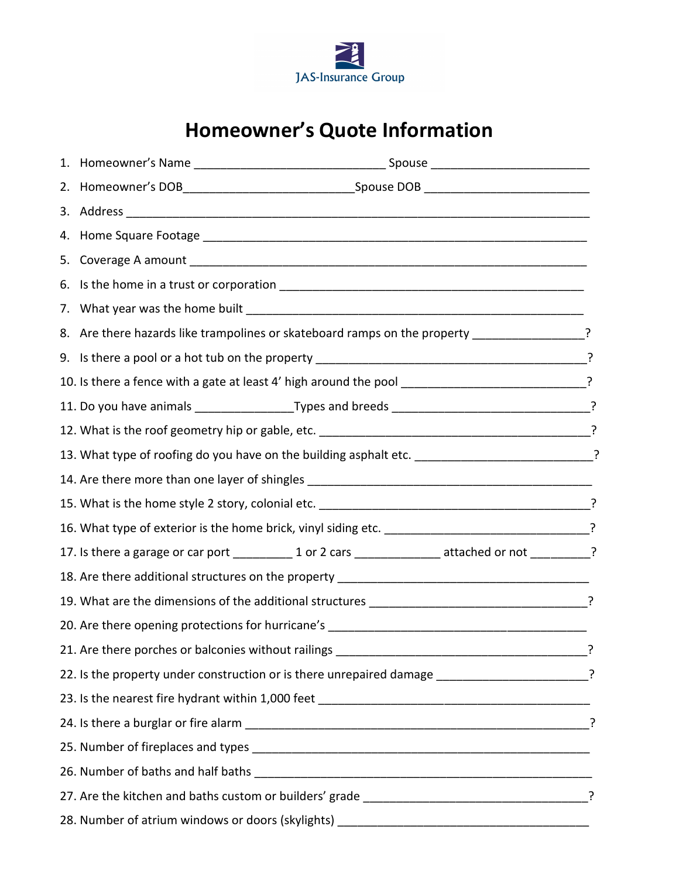

## **Homeowner's Quote Information**

| 8. Are there hazards like trampolines or skateboard ramps on the property ________________?          |  |
|------------------------------------------------------------------------------------------------------|--|
|                                                                                                      |  |
| 10. Is there a fence with a gate at least 4' high around the pool _______________________________?   |  |
|                                                                                                      |  |
|                                                                                                      |  |
| 13. What type of roofing do you have on the building asphalt etc. ___________________________?       |  |
|                                                                                                      |  |
|                                                                                                      |  |
| 16. What type of exterior is the home brick, vinyl siding etc. _______________________________?      |  |
| 17. Is there a garage or car port ___________1 or 2 cars _______________ attached or not __________? |  |
|                                                                                                      |  |
|                                                                                                      |  |
| 20. Are there opening protections for hurricane's ______________________________                     |  |
| 21. Are there porches or balconies without railings                                                  |  |
| 22. Is the property under construction or is there unrepaired damage _______________________?        |  |
|                                                                                                      |  |
|                                                                                                      |  |
|                                                                                                      |  |
|                                                                                                      |  |
|                                                                                                      |  |
|                                                                                                      |  |